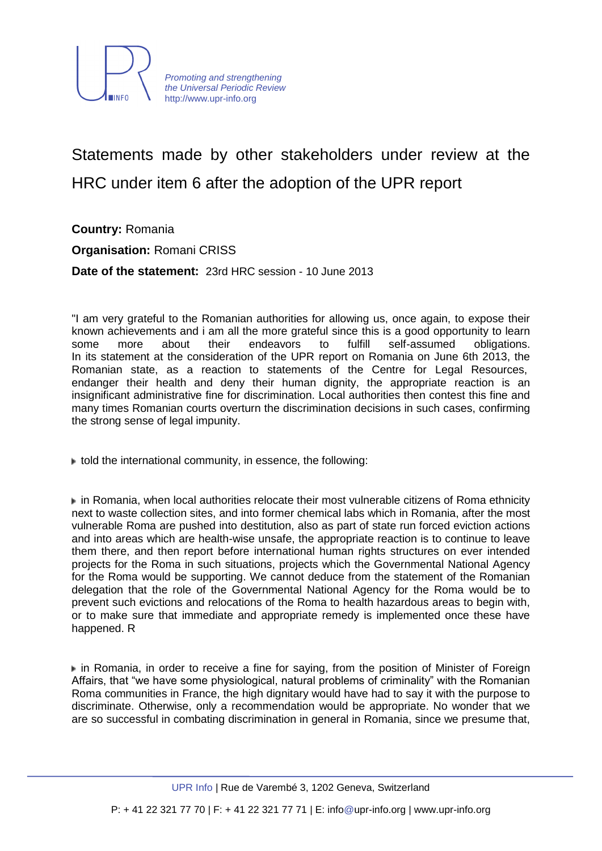

## Statements made by other stakeholders under review at the HRC under item 6 after the adoption of the UPR report

**Country:** Romania

**Organisation:** Romani CRISS

**Date of the statement:** 23rd HRC session - 10 June 2013

"I am very grateful to the Romanian authorities for allowing us, once again, to expose their known achievements and i am all the more grateful since this is a good opportunity to learn some more about their endeavors to fulfill self-assumed obligations. In its statement at the consideration of the UPR report on Romania on June 6th 2013, the Romanian state, as a reaction to statements of the Centre for Legal Resources, endanger their health and deny their human dignity, the appropriate reaction is an insignificant administrative fine for discrimination. Local authorities then contest this fine and many times Romanian courts overturn the discrimination decisions in such cases, confirming the strong sense of legal impunity.

 $\blacktriangleright$  told the international community, in essence, the following:

in Romania, when local authorities relocate their most vulnerable citizens of Roma ethnicity next to waste collection sites, and into former chemical labs which in Romania, after the most vulnerable Roma are pushed into destitution, also as part of state run forced eviction actions and into areas which are health-wise unsafe, the appropriate reaction is to continue to leave them there, and then report before international human rights structures on ever intended projects for the Roma in such situations, projects which the Governmental National Agency for the Roma would be supporting. We cannot deduce from the statement of the Romanian delegation that the role of the Governmental National Agency for the Roma would be to prevent such evictions and relocations of the Roma to health hazardous areas to begin with, or to make sure that immediate and appropriate remedy is implemented once these have happened. R

in Romania, in order to receive a fine for saying, from the position of Minister of Foreign Affairs, that "we have some physiological, natural problems of criminality" with the Romanian Roma communities in France, the high dignitary would have had to say it with the purpose to discriminate. Otherwise, only a recommendation would be appropriate. No wonder that we are so successful in combating discrimination in general in Romania, since we presume that,